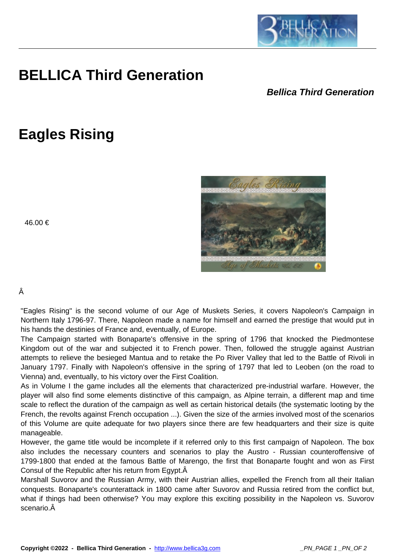

## **BELLICA Third Generation**

## **Bellica Third Generation**

## **Eagles Rising**







## Â

"Eagles Rising" is the second volume of our Age of Muskets Series, it covers Napoleon's Campaign in Northern Italy 1796-97. There, Napoleon made a name for himself and earned the prestige that would put in his hands the destinies of France and, eventually, of Europe.

 $\overline{\phantom{a}}$ 

The Campaign started with Bonaparte's offensive in the spring of 1796 that knocked the Piedmontese Kingdom out of the war and subjected it to French power. Then, followed the struggle against Austrian attempts to relieve the besieged Mantua and to retake the Po River Valley that led to the Battle of Rivoli in January 1797. Finally with Napoleon's offensive in the spring of 1797 that led to Leoben (on the road to Vienna) and, eventually, to his victory over the First Coalition.

As in Volume I the game includes all the elements that characterized pre-industrial warfare. However, the player will also find some elements distinctive of this campaign, as Alpine terrain, a different map and time scale to reflect the duration of the campaign as well as certain historical details (the systematic looting by the French, the revolts against French occupation ...). Given the size of the armies involved most of the scenarios of this Volume are quite adequate for two players since there are few headquarters and their size is quite manageable.

However, the game title would be incomplete if it referred only to this first campaign of Napoleon. The box also includes the necessary counters and scenarios to play the Austro - Russian counteroffensive of 1799-1800 that ended at the famous Battle of Marengo, the first that Bonaparte fought and won as First Consul of the Republic after his return from Egypt.

Marshall Suvorov and the Russian Army, with their Austrian allies, expelled the French from all their Italian conquests. Bonaparte's counterattack in 1800 came after Suvorov and Russia retired from the conflict but, what if things had been otherwise? You may explore this exciting possibility in the Napoleon vs. Suvorov scenario.